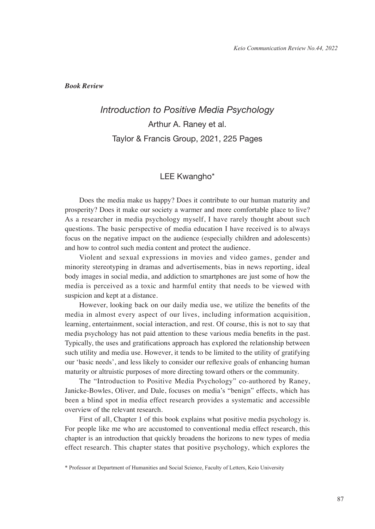*Book Review*

## *Introduction to Positive Media Psychology* Arthur A. Raney et al. Taylor & Francis Group, 2021, 225 Pages

## LEE Kwangho\*

Does the media make us happy? Does it contribute to our human maturity and prosperity? Does it make our society a warmer and more comfortable place to live? As a researcher in media psychology myself, I have rarely thought about such questions. The basic perspective of media education I have received is to always focus on the negative impact on the audience (especially children and adolescents) and how to control such media content and protect the audience.

Violent and sexual expressions in movies and video games, gender and minority stereotyping in dramas and advertisements, bias in news reporting, ideal body images in social media, and addiction to smartphones are just some of how the media is perceived as a toxic and harmful entity that needs to be viewed with suspicion and kept at a distance.

However, looking back on our daily media use, we utilize the benefits of the media in almost every aspect of our lives, including information acquisition, learning, entertainment, social interaction, and rest. Of course, this is not to say that media psychology has not paid attention to these various media benefits in the past. Typically, the uses and gratifications approach has explored the relationship between such utility and media use. However, it tends to be limited to the utility of gratifying our 'basic needs', and less likely to consider our reflexive goals of enhancing human maturity or altruistic purposes of more directing toward others or the community.

The "Introduction to Positive Media Psychology" co-authored by Raney, Janicke-Bowles, Oliver, and Dale, focuses on media's "benign" effects, which has been a blind spot in media effect research provides a systematic and accessible overview of the relevant research.

First of all, Chapter 1 of this book explains what positive media psychology is. For people like me who are accustomed to conventional media effect research, this chapter is an introduction that quickly broadens the horizons to new types of media effect research. This chapter states that positive psychology, which explores the

<sup>\*</sup> Professor at Department of Humanities and Social Science, Faculty of Letters, Keio University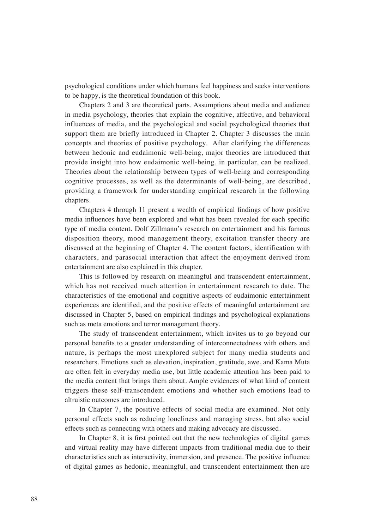psychological conditions under which humans feel happiness and seeks interventions to be happy, is the theoretical foundation of this book.

Chapters 2 and 3 are theoretical parts. Assumptions about media and audience in media psychology, theories that explain the cognitive, affective, and behavioral influences of media, and the psychological and social psychological theories that support them are briefly introduced in Chapter 2. Chapter 3 discusses the main concepts and theories of positive psychology. After clarifying the differences between hedonic and eudaimonic well-being, major theories are introduced that provide insight into how eudaimonic well-being, in particular, can be realized. Theories about the relationship between types of well-being and corresponding cognitive processes, as well as the determinants of well-being, are described, providing a framework for understanding empirical research in the following chapters.

Chapters 4 through 11 present a wealth of empirical findings of how positive media influences have been explored and what has been revealed for each specific type of media content. Dolf Zillmann's research on entertainment and his famous disposition theory, mood management theory, excitation transfer theory are discussed at the beginning of Chapter 4. The content factors, identification with characters, and parasocial interaction that affect the enjoyment derived from entertainment are also explained in this chapter.

This is followed by research on meaningful and transcendent entertainment, which has not received much attention in entertainment research to date. The characteristics of the emotional and cognitive aspects of eudaimonic entertainment experiences are identified, and the positive effects of meaningful entertainment are discussed in Chapter 5, based on empirical findings and psychological explanations such as meta emotions and terror management theory.

The study of transcendent entertainment, which invites us to go beyond our personal benefits to a greater understanding of interconnectedness with others and nature, is perhaps the most unexplored subject for many media students and researchers. Emotions such as elevation, inspiration, gratitude, awe, and Kama Muta are often felt in everyday media use, but little academic attention has been paid to the media content that brings them about. Ample evidences of what kind of content triggers these self-transcendent emotions and whether such emotions lead to altruistic outcomes are introduced.

In Chapter 7, the positive effects of social media are examined. Not only personal effects such as reducing loneliness and managing stress, but also social effects such as connecting with others and making advocacy are discussed.

In Chapter 8, it is first pointed out that the new technologies of digital games and virtual reality may have different impacts from traditional media due to their characteristics such as interactivity, immersion, and presence. The positive influence of digital games as hedonic, meaningful, and transcendent entertainment then are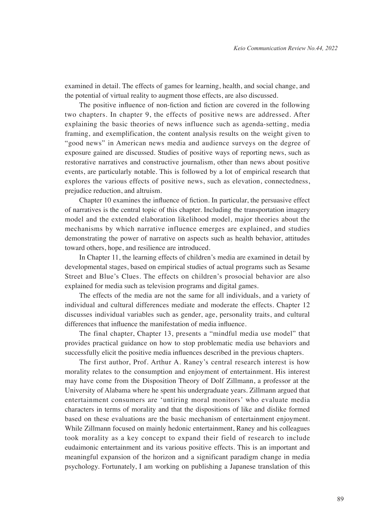examined in detail. The effects of games for learning, health, and social change, and the potential of virtual reality to augment those effects, are also discussed.

The positive influence of non-fiction and fiction are covered in the following two chapters. In chapter 9, the effects of positive news are addressed. After explaining the basic theories of news influence such as agenda-setting, media framing, and exemplification, the content analysis results on the weight given to "good news" in American news media and audience surveys on the degree of exposure gained are discussed. Studies of positive ways of reporting news, such as restorative narratives and constructive journalism, other than news about positive events, are particularly notable. This is followed by a lot of empirical research that explores the various effects of positive news, such as elevation, connectedness, prejudice reduction, and altruism.

Chapter 10 examines the influence of fiction. In particular, the persuasive effect of narratives is the central topic of this chapter. Including the transportation imagery model and the extended elaboration likelihood model, major theories about the mechanisms by which narrative influence emerges are explained, and studies demonstrating the power of narrative on aspects such as health behavior, attitudes toward others, hope, and resilience are introduced.

In Chapter 11, the learning effects of children's media are examined in detail by developmental stages, based on empirical studies of actual programs such as Sesame Street and Blue's Clues. The effects on children's prosocial behavior are also explained for media such as television programs and digital games.

The effects of the media are not the same for all individuals, and a variety of individual and cultural differences mediate and moderate the effects. Chapter 12 discusses individual variables such as gender, age, personality traits, and cultural differences that influence the manifestation of media influence.

The final chapter, Chapter 13, presents a "mindful media use model" that provides practical guidance on how to stop problematic media use behaviors and successfully elicit the positive media influences described in the previous chapters.

The first author, Prof. Arthur A. Raney's central research interest is how morality relates to the consumption and enjoyment of entertainment. His interest may have come from the Disposition Theory of Dolf Zillmann, a professor at the University of Alabama where he spent his undergraduate years. Zillmann argued that entertainment consumers are 'untiring moral monitors' who evaluate media characters in terms of morality and that the dispositions of like and dislike formed based on these evaluations are the basic mechanism of entertainment enjoyment. While Zillmann focused on mainly hedonic entertainment, Raney and his colleagues took morality as a key concept to expand their field of research to include eudaimonic entertainment and its various positive effects. This is an important and meaningful expansion of the horizon and a significant paradigm change in media psychology. Fortunately, I am working on publishing a Japanese translation of this